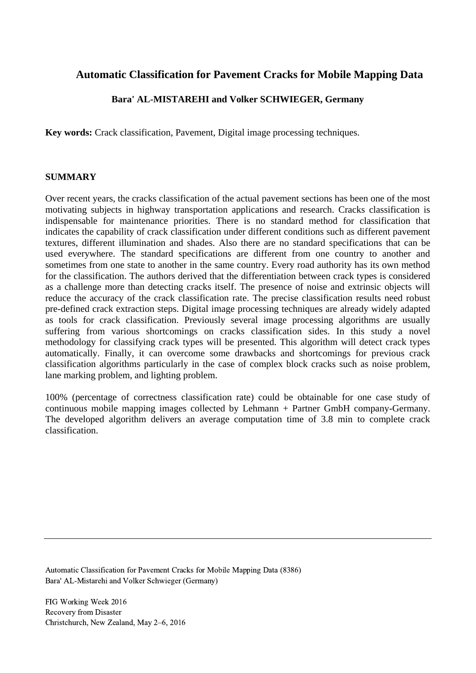# **Automatic Classification for Pavement Cracks for Mobile Mapping Data**

## **Bara' AL-MISTAREHI and Volker SCHWIEGER, Germany**

**Key words:** Crack classification, Pavement, Digital image processing techniques.

#### **SUMMARY**

Over recent years, the cracks classification of the actual pavement sections has been one of the most motivating subjects in highway transportation applications and research. Cracks classification is indispensable for maintenance priorities. There is no standard method for classification that indicates the capability of crack classification under different conditions such as different pavement textures, different illumination and shades. Also there are no standard specifications that can be used everywhere. The standard specifications are different from one country to another and sometimes from one state to another in the same country. Every road authority has its own method for the classification. The authors derived that the differentiation between crack types is considered as a challenge more than detecting cracks itself. The presence of noise and extrinsic objects will reduce the accuracy of the crack classification rate. The precise classification results need robust pre-defined crack extraction steps. Digital image processing techniques are already widely adapted as tools for crack classification. Previously several image processing algorithms are usually suffering from various shortcomings on cracks classification sides. In this study a novel methodology for classifying crack types will be presented. This algorithm will detect crack types automatically. Finally, it can overcome some drawbacks and shortcomings for previous crack classification algorithms particularly in the case of complex block cracks such as noise problem, lane marking problem, and lighting problem.

100% (percentage of correctness classification rate) could be obtainable for one case study of continuous mobile mapping images collected by Lehmann + Partner GmbH company-Germany. The developed algorithm delivers an average computation time of 3.8 min to complete crack classification.

Automatic Classification for Pavement Cracks for Mobile Mapping Data (8386) Bara' AL-Mistarehi and Volker Schwieger (Germany)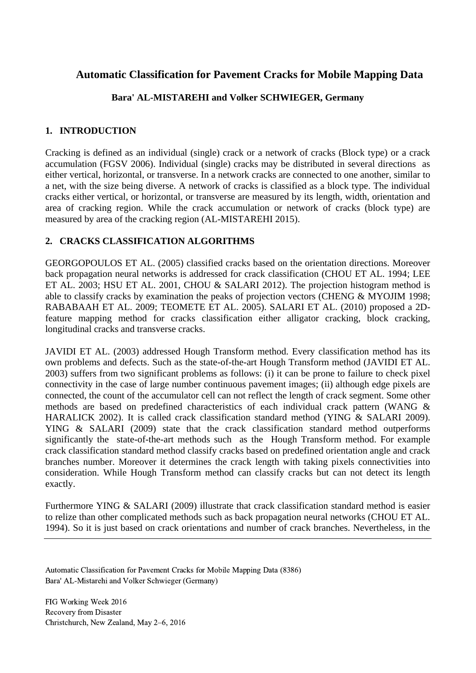# **Automatic Classification for Pavement Cracks for Mobile Mapping Data**

## **Bara' AL-MISTAREHI and Volker SCHWIEGER, Germany**

## **1. INTRODUCTION**

Cracking is defined as an individual (single) crack or a network of cracks (Block type) or a crack accumulation (FGSV 2006). Individual (single) cracks may be distributed in several directions as either vertical, horizontal, or transverse. In a network cracks are connected to one another, similar to a net, with the size being diverse. A network of cracks is classified as a block type. The individual cracks either vertical, or horizontal, or transverse are measured by its length, width, orientation and area of cracking region. While the crack accumulation or network of cracks (block type) are measured by area of the cracking region (AL-MISTAREHI 2015).

## **2. CRACKS CLASSIFICATION ALGORITHMS**

GEORGOPOULOS ET AL. (2005) classified cracks based on the orientation directions. Moreover back propagation neural networks is addressed for crack classification (CHOU ET AL. 1994; LEE ET AL. 2003; HSU ET AL. 2001, CHOU & SALARI 2012). The projection histogram method is able to classify cracks by examination the peaks of projection vectors (CHENG & MYOJIM 1998; RABABAAH ET AL. 2009; TEOMETE ET AL. 2005). SALARI ET AL. (2010) proposed a 2Dfeature mapping method for cracks classification either alligator cracking, block cracking, longitudinal cracks and transverse cracks.

JAVIDI ET AL. (2003) addressed Hough Transform method. Every classification method has its own problems and defects. Such as the state-of-the-art Hough Transform method (JAVIDI ET AL. 2003) suffers from two significant problems as follows: (i) it can be prone to failure to check pixel connectivity in the case of large number continuous pavement images; (ii) although edge pixels are connected, the count of the accumulator cell can not reflect the length of crack segment. Some other methods are based on predefined characteristics of each individual crack pattern (WANG & HARALICK 2002). It is called crack classification standard method (YING & SALARI 2009). YING & SALARI (2009) state that the crack classification standard method outperforms significantly the state-of-the-art methods such as the Hough Transform method. For example crack classification standard method classify cracks based on predefined orientation angle and crack branches number. Moreover it determines the crack length with taking pixels connectivities into consideration. While Hough Transform method can classify cracks but can not detect its length exactly.

Furthermore YING & SALARI (2009) illustrate that crack classification standard method is easier to relize than other complicated methods such as back propagation neural networks (CHOU ET AL. 1994). So it is just based on crack orientations and number of crack branches. Nevertheless, in the

Automatic Classification for Pavement Cracks for Mobile Mapping Data (8386) Bara' AL-Mistarehi and Volker Schwieger (Germany)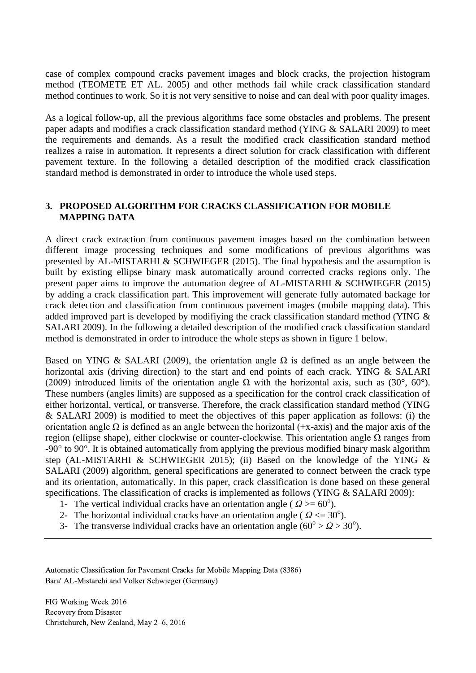case of complex compound cracks pavement images and block cracks, the projection histogram method (TEOMETE ET AL. 2005) and other methods fail while crack classification standard method continues to work. So it is not very sensitive to noise and can deal with poor quality images.

As a logical follow-up, all the previous algorithms face some obstacles and problems. The present paper adapts and modifies a crack classification standard method (YING & SALARI 2009) to meet the requirements and demands. As a result the modified crack classification standard method realizes a raise in automation. It represents a direct solution for crack classification with different pavement texture. In the following a detailed description of the modified crack classification standard method is demonstrated in order to introduce the whole used steps.

## **3. PROPOSED ALGORITHM FOR CRACKS CLASSIFICATION FOR MOBILE MAPPING DATA**

A direct crack extraction from continuous pavement images based on the combination between different image processing techniques and some modifications of previous algorithms was presented by AL-MISTARHI & SCHWIEGER (2015). The final hypothesis and the assumption is built by existing ellipse binary mask automatically around corrected cracks regions only. The present paper aims to improve the automation degree of AL-MISTARHI & SCHWIEGER (2015) by adding a crack classification part. This improvement will generate fully automated backage for crack detection and classification from continuous pavement images (mobile mapping data). This added improved part is developed by modifiying the crack classification standard method (YING & SALARI 2009). In the following a detailed description of the modified crack classification standard method is demonstrated in order to introduce the whole steps as shown in figure 1 below.

Based on YING & SALARI (2009), the orientation angle  $\Omega$  is defined as an angle between the horizontal axis (driving direction) to the start and end points of each crack. YING & SALARI (2009) introduced limits of the orientation angle  $\Omega$  with the horizontal axis, such as (30°, 60°). These numbers (angles limits) are supposed as a specification for the control crack classification of either horizontal, vertical, or transverse. Therefore, the crack classification standard method (YING & SALARI 2009) is modified to meet the objectives of this paper application as follows: (i) the orientation angle  $\Omega$  is defined as an angle between the horizontal (+x-axis) and the major axis of the region (ellipse shape), either clockwise or counter-clockwise. This orientation angle  $Ω$  ranges from -90° to 90°. It is obtained automatically from applying the previous modified binary mask algorithm step (AL-MISTARHI & SCHWIEGER 2015); (ii) Based on the knowledge of the YING  $\&$ SALARI (2009) algorithm, general specifications are generated to connect between the crack type and its orientation, automatically. In this paper, crack classification is done based on these general specifications. The classification of cracks is implemented as follows (YING & SALARI 2009):

- 1- The vertical individual cracks have an orientation angle ( $\Omega$  >= 60<sup>o</sup>).
- 2- The horizontal individual cracks have an orientation angle ( $\Omega < = 30^{\circ}$ ).
- 3- The transverse individual cracks have an orientation angle  $(60^{\circ} > \Omega > 30^{\circ})$ .

Automatic Classification for Pavement Cracks for Mobile Mapping Data (8386) Bara' AL-Mistarehi and Volker Schwieger (Germany)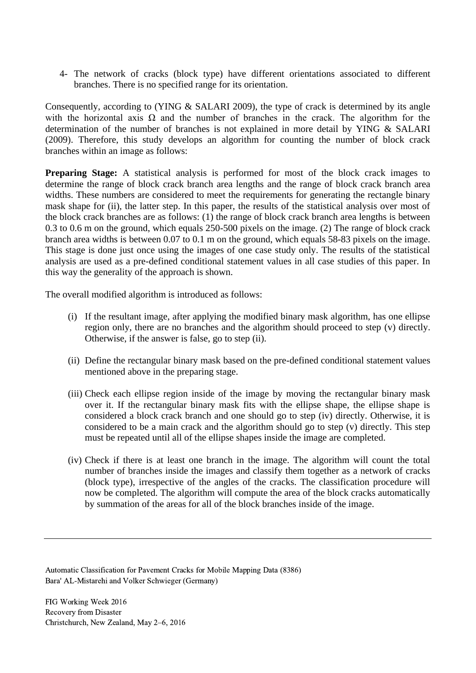4- The network of cracks (block type) have different orientations associated to different branches. There is no specified range for its orientation.

Consequently, according to (YING & SALARI 2009), the type of crack is determined by its angle with the horizontal axis  $\Omega$  and the number of branches in the crack. The algorithm for the determination of the number of branches is not explained in more detail by YING & SALARI (2009). Therefore, this study develops an algorithm for counting the number of block crack branches within an image as follows:

**Preparing Stage:** A statistical analysis is performed for most of the block crack images to determine the range of block crack branch area lengths and the range of block crack branch area widths. These numbers are considered to meet the requirements for generating the rectangle binary mask shape for (ii), the latter step. In this paper, the results of the statistical analysis over most of the block crack branches are as follows: (1) the range of block crack branch area lengths is between 0.3 to 0.6 m on the ground, which equals 250-500 pixels on the image. (2) The range of block crack branch area widths is between 0.07 to 0.1 m on the ground, which equals 58-83 pixels on the image. This stage is done just once using the images of one case study only. The results of the statistical analysis are used as a pre-defined conditional statement values in all case studies of this paper. In this way the generality of the approach is shown.

The overall modified algorithm is introduced as follows:

- (i) If the resultant image, after applying the modified binary mask algorithm, has one ellipse region only, there are no branches and the algorithm should proceed to step (v) directly. Otherwise, if the answer is false, go to step (ii).
- (ii) Define the rectangular binary mask based on the pre-defined conditional statement values mentioned above in the preparing stage.
- (iii) Check each ellipse region inside of the image by moving the rectangular binary mask over it. If the rectangular binary mask fits with the ellipse shape, the ellipse shape is considered a block crack branch and one should go to step (iv) directly. Otherwise, it is considered to be a main crack and the algorithm should go to step (v) directly. This step must be repeated until all of the ellipse shapes inside the image are completed.
- (iv) Check if there is at least one branch in the image. The algorithm will count the total number of branches inside the images and classify them together as a network of cracks (block type), irrespective of the angles of the cracks. The classification procedure will now be completed. The algorithm will compute the area of the block cracks automatically by summation of the areas for all of the block branches inside of the image.

Automatic Classification for Pavement Cracks for Mobile Mapping Data (8386) Bara' AL-Mistarehi and Volker Schwieger (Germany)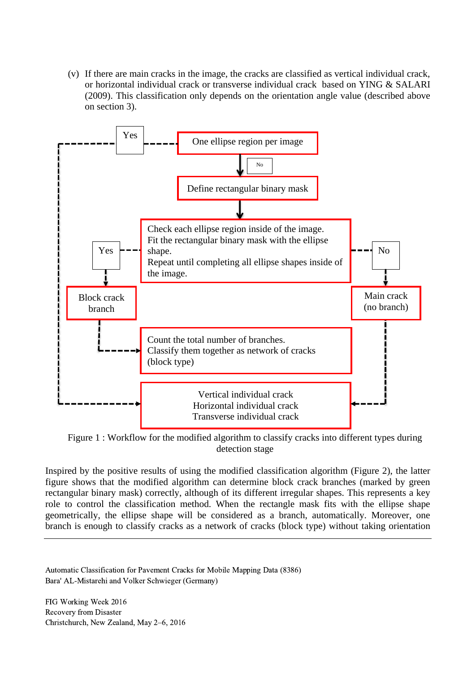(v) If there are main cracks in the image, the cracks are classified as vertical individual crack, or horizontal individual crack or transverse individual crack based on YING & SALARI (2009). This classification only depends on the orientation angle value (described above on section 3).



Figure 1 : Workflow for the modified algorithm to classify cracks into different types during detection stage

Inspired by the positive results of using the modified classification algorithm (Figure 2), the latter figure shows that the modified algorithm can determine block crack branches (marked by green rectangular binary mask) correctly, although of its different irregular shapes. This represents a key role to control the classification method. When the rectangle mask fits with the ellipse shape geometrically, the ellipse shape will be considered as a branch, automatically. Moreover, one branch is enough to classify cracks as a network of cracks (block type) without taking orientation

Automatic Classification for Pavement Cracks for Mobile Mapping Data (8386) Bara' AL-Mistarehi and Volker Schwieger (Germany)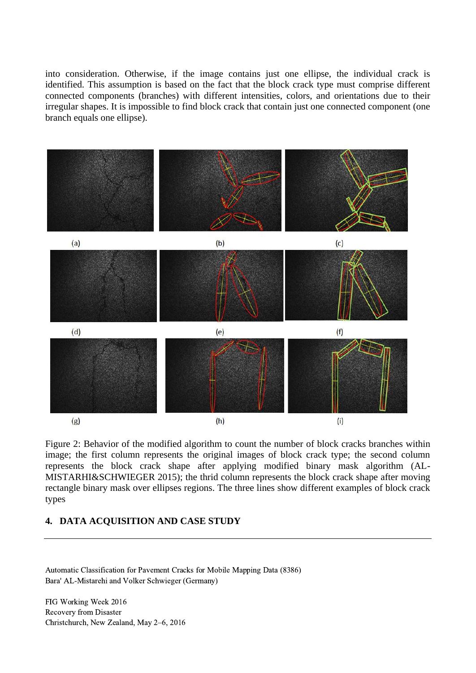into consideration. Otherwise, if the image contains just one ellipse, the individual crack is identified. This assumption is based on the fact that the block crack type must comprise different connected components (branches) with different intensities, colors, and orientations due to their irregular shapes. It is impossible to find block crack that contain just one connected component (one branch equals one ellipse).



Figure 2: Behavior of the modified algorithm to count the number of block cracks branches within image; the first column represents the original images of block crack type; the second column represents the block crack shape after applying modified binary mask algorithm (AL-MISTARHI&SCHWIEGER 2015); the thrid column represents the block crack shape after moving rectangle binary mask over ellipses regions. The three lines show different examples of block crack types

#### **4. DATA ACQUISITION AND CASE STUDY**

Automatic Classification for Pavement Cracks for Mobile Mapping Data (8386) Bara' AL-Mistarehi and Volker Schwieger (Germany)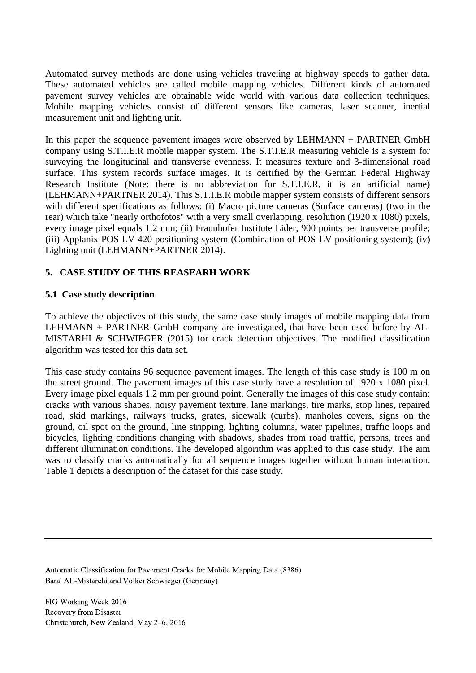Automated survey methods are done using vehicles traveling at highway speeds to gather data. These automated vehicles are called mobile mapping vehicles. Different kinds of automated pavement survey vehicles are obtainable wide world with various data collection techniques. Mobile mapping vehicles consist of different sensors like cameras, laser scanner, inertial measurement unit and lighting unit.

In this paper the sequence pavement images were observed by LEHMANN + PARTNER GmbH company using S.T.I.E.R mobile mapper system. The S.T.I.E.R measuring vehicle is a system for surveying the longitudinal and transverse evenness. It measures texture and 3-dimensional road surface. This system records surface images. It is certified by the German Federal Highway Research Institute (Note: there is no abbreviation for S.T.I.E.R, it is an artificial name) (LEHMANN+PARTNER 2014). This S.T.I.E.R mobile mapper system consists of different sensors with different specifications as follows: (i) Macro picture cameras (Surface cameras) (two in the rear) which take "nearly orthofotos" with a very small overlapping, resolution (1920 x 1080) pixels, every image pixel equals 1.2 mm; (ii) Fraunhofer Institute Lider, 900 points per transverse profile; (iii) Applanix POS LV 420 positioning system (Combination of POS-LV positioning system); (iv) Lighting unit (LEHMANN+PARTNER 2014).

## **5. CASE STUDY OF THIS REASEARH WORK**

#### **5.1 Case study description**

To achieve the objectives of this study, the same case study images of mobile mapping data from LEHMANN + PARTNER GmbH company are investigated, that have been used before by AL-MISTARHI & SCHWIEGER (2015) for crack detection objectives. The modified classification algorithm was tested for this data set.

This case study contains 96 sequence pavement images. The length of this case study is 100 m on the street ground. The pavement images of this case study have a resolution of 1920 x 1080 pixel. Every image pixel equals 1.2 mm per ground point. Generally the images of this case study contain: cracks with various shapes, noisy pavement texture, lane markings, tire marks, stop lines, repaired road, skid markings, railways trucks, grates, sidewalk (curbs), manholes covers, signs on the ground, oil spot on the ground, line stripping, lighting columns, water pipelines, traffic loops and bicycles, lighting conditions changing with shadows, shades from road traffic, persons, trees and different illumination conditions. The developed algorithm was applied to this case study. The aim was to classify cracks automatically for all sequence images together without human interaction. Table 1 depicts a description of the dataset for this case study.

Automatic Classification for Pavement Cracks for Mobile Mapping Data (8386) Bara' AL-Mistarehi and Volker Schwieger (Germany)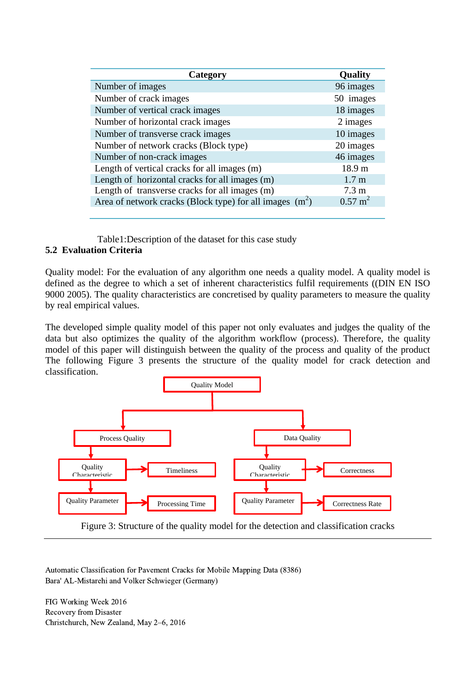| Category                                                  | Quality            |
|-----------------------------------------------------------|--------------------|
| Number of images                                          | 96 images          |
| Number of crack images                                    | 50 images          |
| Number of vertical crack images                           | 18 images          |
| Number of horizontal crack images                         | 2 images           |
| Number of transverse crack images                         | 10 images          |
| Number of network cracks (Block type)                     | 20 images          |
| Number of non-crack images                                | 46 images          |
| Length of vertical cracks for all images (m)              | 18.9 m             |
| Length of horizontal cracks for all images (m)            | 1.7 <sub>m</sub>   |
| Length of transverse cracks for all images (m)            | $7.3 \text{ m}$    |
| Area of network cracks (Block type) for all images $(m2)$ | $0.57 \text{ m}^2$ |
|                                                           |                    |

Table1:Description of the dataset for this case study

## **5.2 Evaluation Criteria**

Quality model: For the evaluation of any algorithm one needs a quality model. A quality model is defined as the degree to which a set of inherent characteristics fulfil requirements ((DIN EN ISO 9000 2005). The quality characteristics are concretised by quality parameters to measure the quality by real empirical values.

The developed simple quality model of this paper not only evaluates and judges the quality of the data but also optimizes the quality of the algorithm workflow (process). Therefore, the quality model of this paper will distinguish between the quality of the process and quality of the product The following Figure 3 presents the structure of the quality model for crack detection and classification.



Figure 3: Structure of the quality model for the detection and classification cracks

Automatic Classification for Pavement Cracks for Mobile Mapping Data (8386) Bara' AL-Mistarehi and Volker Schwieger (Germany)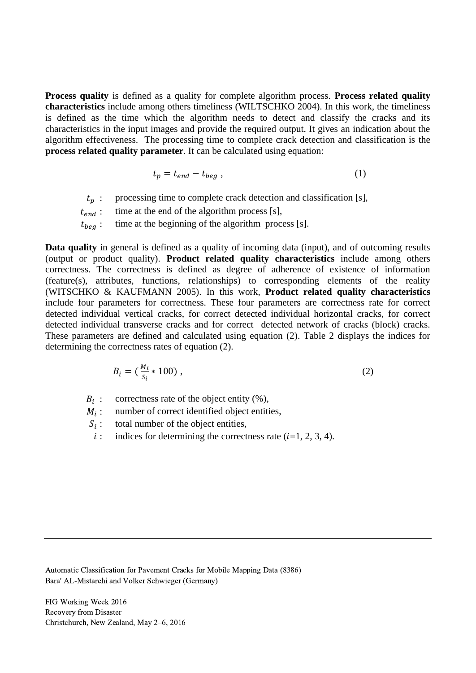**Process quality** is defined as a quality for complete algorithm process. **Process related quality characteristics** include among others timeliness (WILTSCHKO 2004). In this work, the timeliness is defined as the time which the algorithm needs to detect and classify the cracks and its characteristics in the input images and provide the required output. It gives an indication about the algorithm effectiveness. The processing time to complete crack detection and classification is the **process related quality parameter**. It can be calculated using equation:

$$
t_p = t_{end} - t_{beg} \,,\tag{1}
$$

- $t_n$ : processing time to complete crack detection and classification [s],
- $t_{end}$ : time at the end of the algorithm process [s],
- $t_{beq}$ : time at the beginning of the algorithm process [s].

**Data quality** in general is defined as a quality of incoming data (input), and of outcoming results (output or product quality). **Product related quality characteristics** include among others correctness. The correctness is defined as degree of adherence of existence of information (feature(s), attributes, functions, relationships) to corresponding elements of the reality (WITSCHKO & KAUFMANN 2005). In this work, **Product related quality characteristics** include four parameters for correctness. These four parameters are correctness rate for correct detected individual vertical cracks, for correct detected individual horizontal cracks, for correct detected individual transverse cracks and for correct detected network of cracks (block) cracks. These parameters are defined and calculated using equation (2). Table 2 displays the indices for determining the correctness rates of equation (2).

$$
B_i = \left(\frac{M_i}{S_i} * 100\right),\tag{2}
$$

 $B_i$ : : correctness rate of the object entity (%),

- $M_i$ : number of correct identified object entities,
- $S_i$ : : total number of the object entities,
- $i$ : indices for determining the correctness rate ( $i=1, 2, 3, 4$ ).

Automatic Classification for Pavement Cracks for Mobile Mapping Data (8386) Bara' AL-Mistarehi and Volker Schwieger (Germany)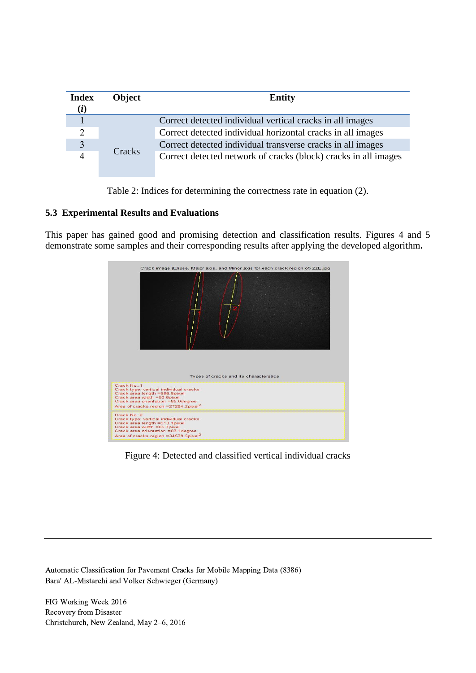| <b>Index</b><br>(i) | Object | <b>Entity</b>                                                   |
|---------------------|--------|-----------------------------------------------------------------|
|                     |        | Correct detected individual vertical cracks in all images       |
| $\mathcal{D}$       |        | Correct detected individual horizontal cracks in all images     |
| 3                   |        | Correct detected individual transverse cracks in all images     |
|                     | Cracks | Correct detected network of cracks (block) cracks in all images |

Table 2: Indices for determining the correctness rate in equation (2).

## **5.3 Experimental Results and Evaluations**

This paper has gained good and promising detection and classification results. Figures 4 and 5 demonstrate some samples and their corresponding results after applying the developed algorithm**.**



Figure 4: Detected and classified vertical individual cracks

Automatic Classification for Pavement Cracks for Mobile Mapping Data (8386) Bara' AL-Mistarehi and Volker Schwieger (Germany)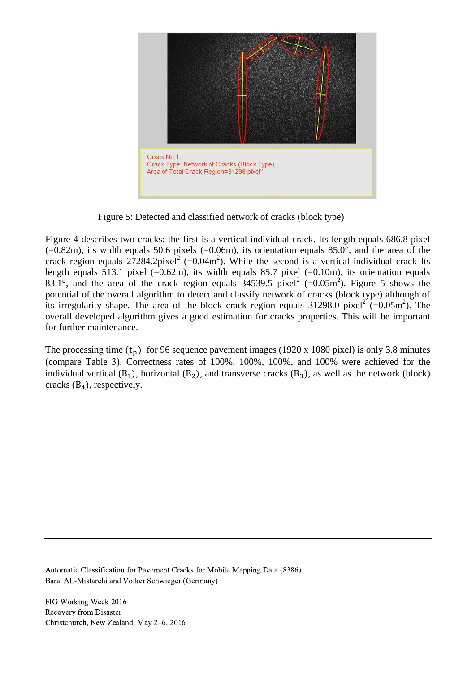

Figure 5: Detected and classified network of cracks (block type)

Figure 4 describes two cracks: the first is a vertical individual crack. Its length equals 686.8 pixel  $(=0.82m)$ , its width equals 50.6 pixels  $(=0.06m)$ , its orientation equals 85.0°, and the area of the crack region equals  $27284.2$ pixel<sup>2</sup> (=0.04m<sup>2</sup>). While the second is a vertical individual crack Its length equals 513.1 pixel  $(=0.62m)$ , its width equals 85.7 pixel  $(=0.10m)$ , its orientation equals 83.1°, and the area of the crack region equals  $34539.5$  pixel<sup>2</sup> (=0.05m<sup>2</sup>). Figure 5 shows the potential of the overall algorithm to detect and classify network of cracks (block type) although of its irregularity shape. The area of the block crack region equals  $31298.0$  pixel<sup>2</sup> (= $0.05$ m<sup>2</sup>). The overall developed algorithm gives a good estimation for cracks properties. This will be important for further maintenance.

The processing time  $(t_p)$  for 96 sequence pavement images (1920 x 1080 pixel) is only 3.8 minutes (compare Table 3). Correctness rates of 100%, 100%, 100%, and 100% were achieved for the individual vertical  $(B_1)$ , horizontal  $(B_2)$ , and transverse cracks  $(B_3)$ , as well as the network (block) cracks  $(B_4)$ , respectively.

Automatic Classification for Pavement Cracks for Mobile Mapping Data (8386) Bara' AL-Mistarehi and Volker Schwieger (Germany)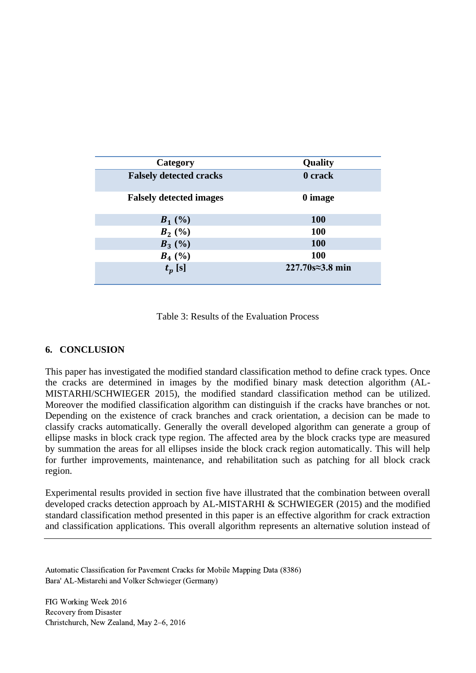| Category                       | <b>Quality</b>            |
|--------------------------------|---------------------------|
| <b>Falsely detected cracks</b> | 0 crack                   |
| <b>Falsely detected images</b> | 0 image                   |
| $B_1$ (%)                      | <b>100</b>                |
| $B_2$ (%)                      | <b>100</b>                |
| $B_3$ (%)                      | <b>100</b>                |
| $B_4$ (%)                      | <b>100</b>                |
| $t_p$ [s]                      | $227.70s \approx 3.8$ min |

Table 3: Results of the Evaluation Process

## **6. CONCLUSION**

This paper has investigated the modified standard classification method to define crack types. Once the cracks are determined in images by the modified binary mask detection algorithm (AL-MISTARHI/SCHWIEGER 2015), the modified standard classification method can be utilized. Moreover the modified classification algorithm can distinguish if the cracks have branches or not. Depending on the existence of crack branches and crack orientation, a decision can be made to classify cracks automatically. Generally the overall developed algorithm can generate a group of ellipse masks in block crack type region. The affected area by the block cracks type are measured by summation the areas for all ellipses inside the block crack region automatically. This will help for further improvements, maintenance, and rehabilitation such as patching for all block crack region.

Experimental results provided in section five have illustrated that the combination between overall developed cracks detection approach by AL-MISTARHI & SCHWIEGER (2015) and the modified standard classification method presented in this paper is an effective algorithm for crack extraction and classification applications. This overall algorithm represents an alternative solution instead of

Automatic Classification for Pavement Cracks for Mobile Mapping Data (8386) Bara' AL-Mistarehi and Volker Schwieger (Germany)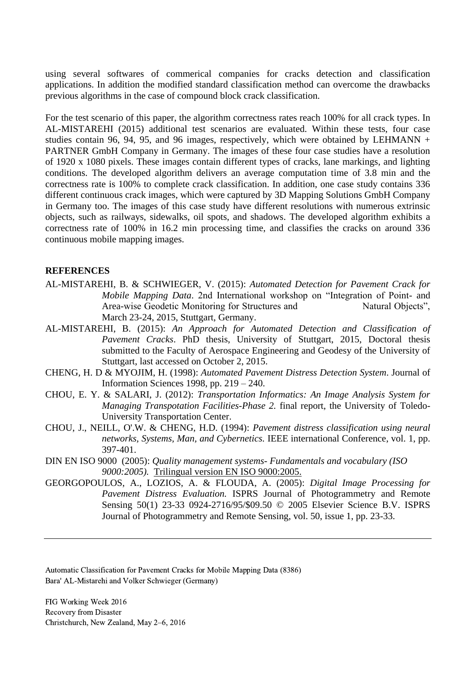using several softwares of commerical companies for cracks detection and classification applications. In addition the modified standard classification method can overcome the drawbacks previous algorithms in the case of compound block crack classification.

For the test scenario of this paper, the algorithm correctness rates reach 100% for all crack types. In AL-MISTAREHI (2015) additional test scenarios are evaluated. Within these tests, four case studies contain 96, 94, 95, and 96 images, respectively, which were obtained by LEHMANN + PARTNER GmbH Company in Germany. The images of these four case studies have a resolution of 1920 x 1080 pixels. These images contain different types of cracks, lane markings, and lighting conditions. The developed algorithm delivers an average computation time of 3.8 min and the correctness rate is 100% to complete crack classification. In addition, one case study contains 336 different continuous crack images, which were captured by 3D Mapping Solutions GmbH Company in Germany too. The images of this case study have different resolutions with numerous extrinsic objects, such as railways, sidewalks, oil spots, and shadows. The developed algorithm exhibits a correctness rate of 100% in 16.2 min processing time, and classifies the cracks on around 336 continuous mobile mapping images.

#### **REFERENCES**

- AL-MISTAREHI, B. & SCHWIEGER, V. (2015): *Automated Detection for Pavement Crack for Mobile Mapping Data*. 2nd International workshop on "Integration of Point- and Area-wise Geodetic Monitoring for Structures and Natural Objects", March 23-24, 2015, Stuttgart, Germany.
- AL-MISTAREHI, B. (2015): *An Approach for Automated Detection and Classification of Pavement Cracks*. PhD thesis, University of Stuttgart, 2015, Doctoral thesis submitted to the Faculty of Aerospace Engineering and Geodesy of the University of Stuttgart, last accessed on October 2, 2015.
- CHENG, H. D & MYOJIM, H. (1998): *Automated Pavement Distress Detection System*. Journal of Information Sciences 1998, pp. 219 – 240.
- CHOU, E. Y. & SALARI, J. (2012): *Transportation Informatics: An Image Analysis System for Managing Transpotation Facilities-Phase 2.* final report, the University of Toledo-University Transportation Center.
- CHOU, J., NEILL, O'.W. & CHENG, H.D. (1994): *Pavement distress classification using neural networks, Systems, Man, and Cybernetics.* IEEE international Conference, vol. 1, pp. 397-401.
- DIN EN ISO 9000 (2005): *Quality management systems- Fundamentals and vocabulary (ISO 9000:2005).* Trilingual version EN ISO 9000:2005.
- GEORGOPOULOS, A., LOZIOS, A. & FLOUDA, A. (2005): *Digital Image Processing for Pavement Distress Evaluation.* ISPRS Journal of Photogrammetry and Remote Sensing 50(1) 23-33 0924-2716/95/\$09.50 © 2005 Elsevier Science B.V. ISPRS Journal of Photogrammetry and Remote Sensing, vol. 50, issue 1, pp. 23-33.

Automatic Classification for Pavement Cracks for Mobile Mapping Data (8386) Bara' AL-Mistarehi and Volker Schwieger (Germany)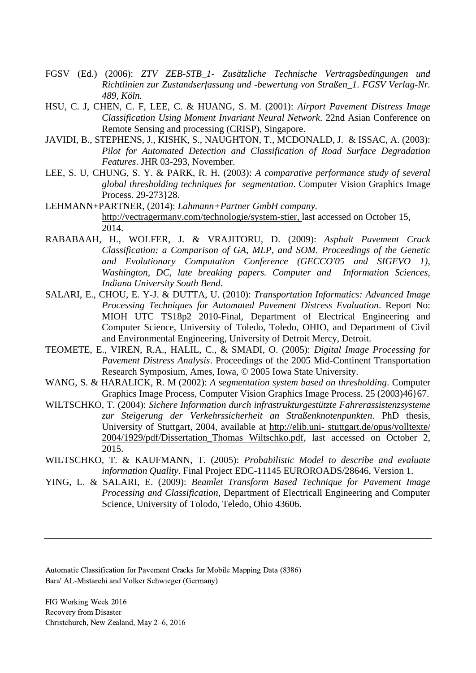- FGSV (Ed.) (2006): *ZTV ZEB-STB\_1- Zusätzliche Technische Vertragsbedingungen und Richtlinien zur Zustandserfassung und -bewertung von Straßen\_1*. *FGSV Verlag-Nr. 489, Köln.*
- HSU, C. J, CHEN, C. F, LEE, C. & HUANG, S. M. (2001): *Airport Pavement Distress Image Classification Using Moment Invariant Neural Network*. 22nd Asian Conference on Remote Sensing and processing (CRISP), Singapore.
- JAVIDI, B., STEPHENS, J., KISHK, S., NAUGHTON, T., MCDONALD, J. & ISSAC, A. (2003): *Pilot for Automated Detection and Classification of Road Surface Degradation Features*. JHR 03-293, November.
- LEE, S. U, CHUNG, S. Y. & PARK, R. H. (2003): *A comparative performance study of several global thresholding techniques for segmentation*. Computer Vision Graphics Image Process. 29-273}28.
- LEHMANN+PARTNER, (2014): *Lahmann+Partner GmbH company.* http://vectragermany.com/technologie/system-stier, last accessed on October 15, 2014.
- RABABAAH, H., WOLFER, J. & VRAJITORU, D. (2009): *Asphalt Pavement Crack Classification: a Comparison of GA, MLP, and SOM. Proceedings of the Genetic and Evolutionary Computation Conference (GECCO'05 and SIGEVO 1), Washington, DC, late breaking papers. Computer and Information Sciences, Indiana University South Bend.*
- SALARI, E., CHOU, E. Y-J. & DUTTA, U. (2010): *Transportation Informatics: Advanced Image Processing Techniques for Automated Pavement Distress Evaluation*. Report No: MIOH UTC TS18p2 2010-Final, Department of Electrical Engineering and Computer Science, University of Toledo, Toledo, OHIO, and Department of Civil and Environmental Engineering, University of Detroit Mercy, Detroit.
- TEOMETE, E., VIREN, R.A., HALIL, C., & SMADI, O. (2005): *Digital Image Processing for Pavement Distress Analysis*. Proceedings of the 2005 Mid-Continent Transportation Research Symposium, Ames, Iowa, © 2005 Iowa State University.
- WANG, S. & HARALICK, R. M (2002): *A segmentation system based on thresholding*. Computer Graphics Image Process, Computer Vision Graphics Image Process. 25 (2003)46}67.
- WILTSCHKO, T. (2004): *Sichere Information durch infrastrukturgestützte Fahrerassistenzsysteme zur Steigerung der Verkehrssicherheit an Straßenknotenpunkten.* PhD thesis, University of Stuttgart, 2004, available at http://elib.uni- stuttgart.de/opus/volltexte/ 2004/1929/pdf/Dissertation\_Thomas Wiltschko.pdf, last accessed on October 2, 2015.
- WILTSCHKO, T. & KAUFMANN, T. (2005): *Probabilistic Model to describe and evaluate information Quality.* Final Project EDC-11145 EUROROADS/28646, Version 1.
- YING, L. & SALARI, E. (2009): *Beamlet Transform Based Technique for Pavement Image Processing and Classification*, Department of Electricall Engineering and Computer Science, University of Tolodo, Teledo, Ohio 43606.

Automatic Classification for Pavement Cracks for Mobile Mapping Data (8386) Bara' AL-Mistarehi and Volker Schwieger (Germany)